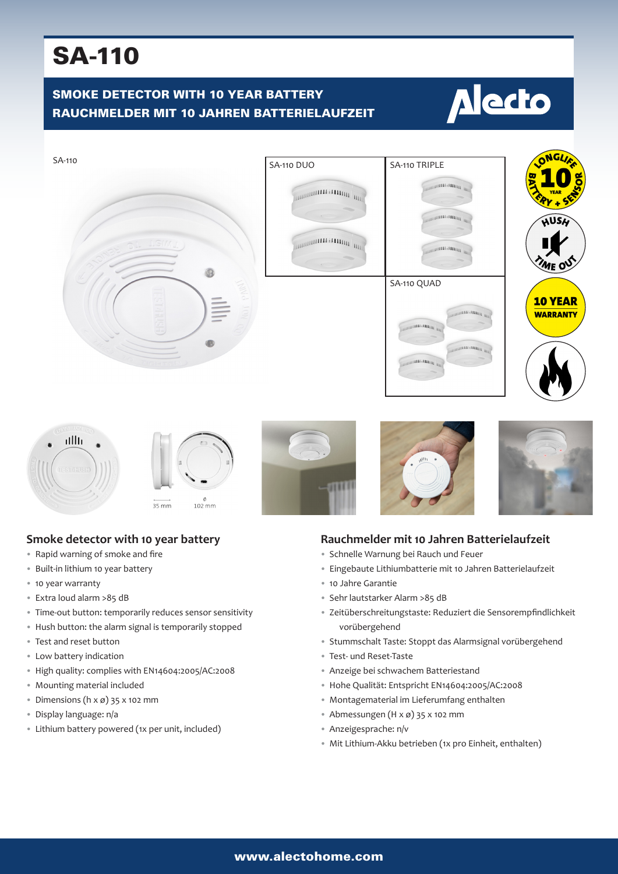## SA-110

## SMOKE DETECTOR WITH 10 YEAR BATTERY RAUCHMELDER MIT 10 JAHREN BATTERIELAUFZEIT

# **Alecto**



















**CONTRACTOR** 



### **Rauchmelder mit 10 Jahren Batterielaufzeit**

- Schnelle Warnung bei Rauch und Feuer
- Eingebaute Lithiumbatterie mit 10 Jahren Batterielaufzeit
- 10 Jahre Garantie
- Sehr lautstarker Alarm >85 dB
- Zeitüberschreitungstaste: Reduziert die Sensorempfindlichkeit vorübergehend
- Stummschalt Taste: Stoppt das Alarmsignal vorübergehend
- Test- und Reset-Taste
- Anzeige bei schwachem Batteriestand
- Hohe Qualität: Entspricht EN14604:2005/AC:2008
- Montagematerial im Lieferumfang enthalten
- Abmessungen (H x ø) 35 x 102 mm
- Anzeigesprache: n/v
- Mit Lithium-Akku betrieben (1x pro Einheit, enthalten)

## **Smoke detector with 10 year battery**

- Rapid warning of smoke and fire
- Built-in lithium 10 year battery
- 10 year warranty
- Extra loud alarm >85 dB
- Time-out button: temporarily reduces sensor sensitivity
- Hush button: the alarm signal is temporarily stopped
- Test and reset button
- Low battery indication
- High quality: complies with EN14604:2005/AC:2008
- Mounting material included
- Dimensions  $(h \times \emptyset)$  35  $\times$  102 mm
- Display language: n/a
- Lithium battery powered (1x per unit, included)